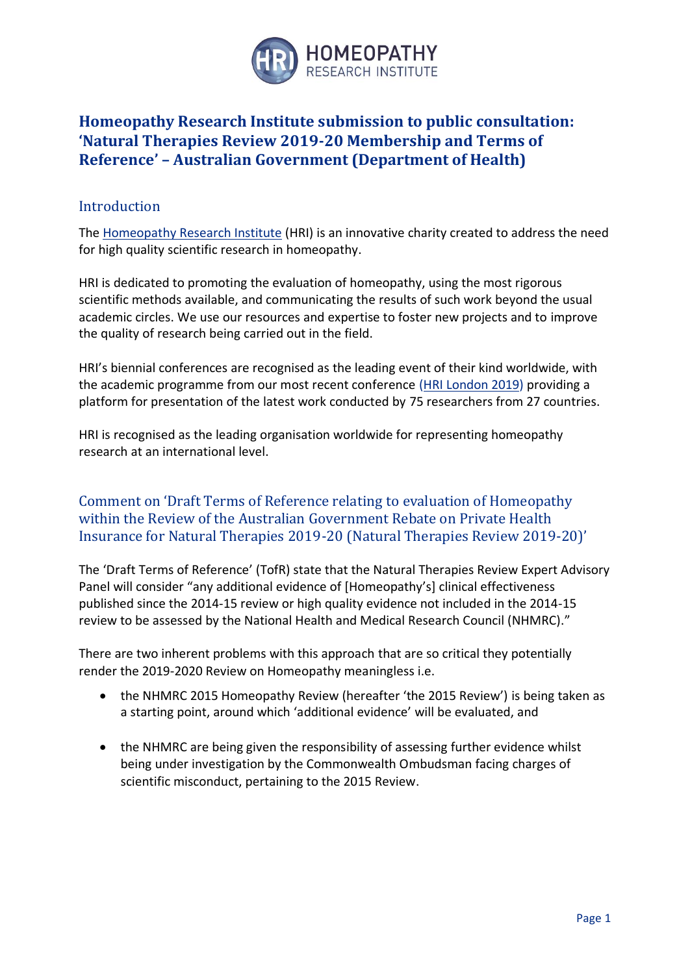

# **Homeopathy Research Institute submission to public consultation: 'Natural Therapies Review 2019-20 Membership and Terms of Reference' – Australian Government (Department of Health)**

#### Introduction

The [Homeopathy Research Institute](http://www.hri-research.org/) (HRI) is an innovative charity created to address the need for high quality scientific research in homeopathy.

HRI is dedicated to promoting the evaluation of homeopathy, using the most rigorous scientific methods available, and communicating the results of such work beyond the usual academic circles. We use our resources and expertise to foster new projects and to improve the quality of research being carried out in the field.

HRI's biennial conferences are recognised as the leading event of their kind worldwide, with the academic programme from our most recent conference [\(HRI London 2019\)](https://www.hrilondon2019.org/) providing a platform for presentation of the latest work conducted by 75 researchers from 27 countries.

HRI is recognised as the leading organisation worldwide for representing homeopathy research at an international level.

#### Comment on 'Draft Terms of Reference relating to evaluation of Homeopathy within the Review of the Australian Government Rebate on Private Health Insurance for Natural Therapies 2019-20 (Natural Therapies Review 2019-20)'

The 'Draft Terms of Reference' (TofR) state that the Natural Therapies Review Expert Advisory Panel will consider "any additional evidence of [Homeopathy's] clinical effectiveness published since the 2014-15 review or high quality evidence not included in the 2014-15 review to be assessed by the National Health and Medical Research Council (NHMRC)."

There are two inherent problems with this approach that are so critical they potentially render the 2019-2020 Review on Homeopathy meaningless i.e.

- the NHMRC 2015 Homeopathy Review (hereafter 'the 2015 Review') is being taken as a starting point, around which 'additional evidence' will be evaluated, and
- the NHMRC are being given the responsibility of assessing further evidence whilst being under investigation by the Commonwealth Ombudsman facing charges of scientific misconduct, pertaining to the 2015 Review.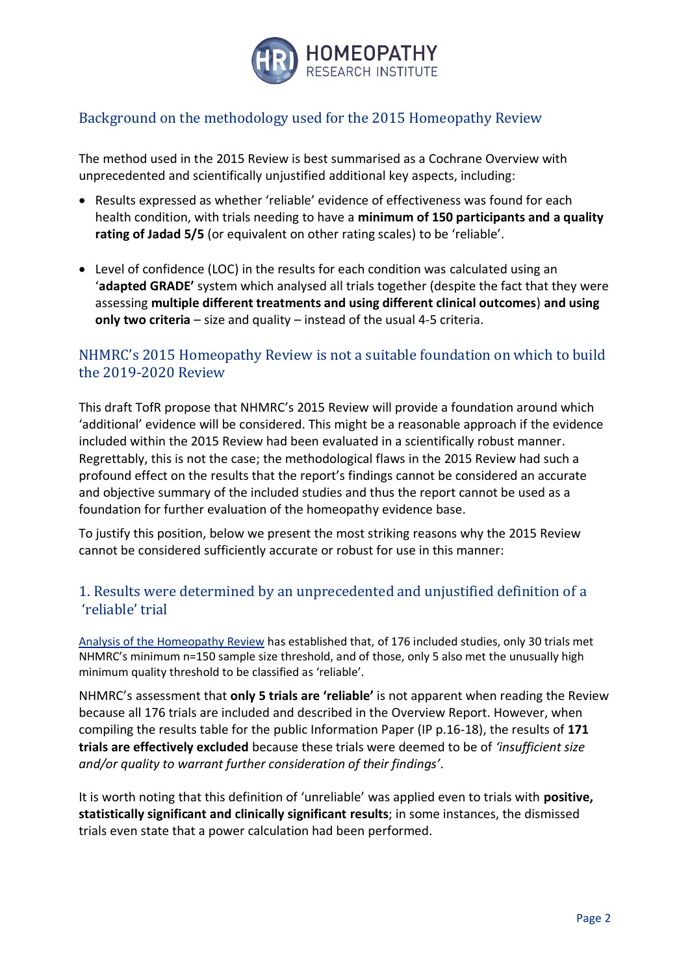

# Background on the methodology used for the 2015 Homeopathy Review

The method used in the 2015 Review is best summarised as a Cochrane Overview with unprecedented and scientifically unjustified additional key aspects, including:

- Results expressed as whether 'reliable' evidence of effectiveness was found for each health condition, with trials needing to have a **minimum of 150 participants and a quality rating of Jadad 5/5** (or equivalent on other rating scales) to be 'reliable'.
- Level of confidence (LOC) in the results for each condition was calculated using an '**adapted GRADE'** system which analysed all trials together (despite the fact that they were assessing **multiple different treatments and using different clinical outcomes**) **and using only two criteria** – size and quality – instead of the usual 4-5 criteria.

#### NHMRC's 2015 Homeopathy Review is not a suitable foundation on which to build the 2019-2020 Review

This draft TofR propose that NHMRC's 2015 Review will provide a foundation around which 'additional' evidence will be considered. This might be a reasonable approach if the evidence included within the 2015 Review had been evaluated in a scientifically robust manner. Regrettably, this is not the case; the methodological flaws in the 2015 Review had such a profound effect on the results that the report's findings cannot be considered an accurate and objective summary of the included studies and thus the report cannot be used as a foundation for further evaluation of the homeopathy evidence base.

To justify this position, below we present the most striking reasons why the 2015 Review cannot be considered sufficiently accurate or robust for use in this manner:

## 1. Results were determined by an unprecedented and unjustified definition of a 'reliable' trial

[Analysis of the Homeopathy Review](https://www.hri-research.org/wp-content/uploads/2017/07/HRI-data-analysis-impact-of-NHMRC-definition-of-reliable.pdf) has established that, of 176 included studies, only 30 trials met NHMRC's minimum n=150 sample size threshold, and of those, only 5 also met the unusually high minimum quality threshold to be classified as 'reliable'.

NHMRC's assessment that **only 5 trials are 'reliable'** is not apparent when reading the Review because all 176 trials are included and described in the Overview Report. However, when compiling the results table for the public Information Paper (IP p.16-18), the results of **171 trials are effectively excluded** because these trials were deemed to be of *'insufficient size and/or quality to warrant further consideration of their findings'.*

It is worth noting that this definition of 'unreliable' was applied even to trials with **positive, statistically significant and clinically significant results**; in some instances, the dismissed trials even state that a power calculation had been performed.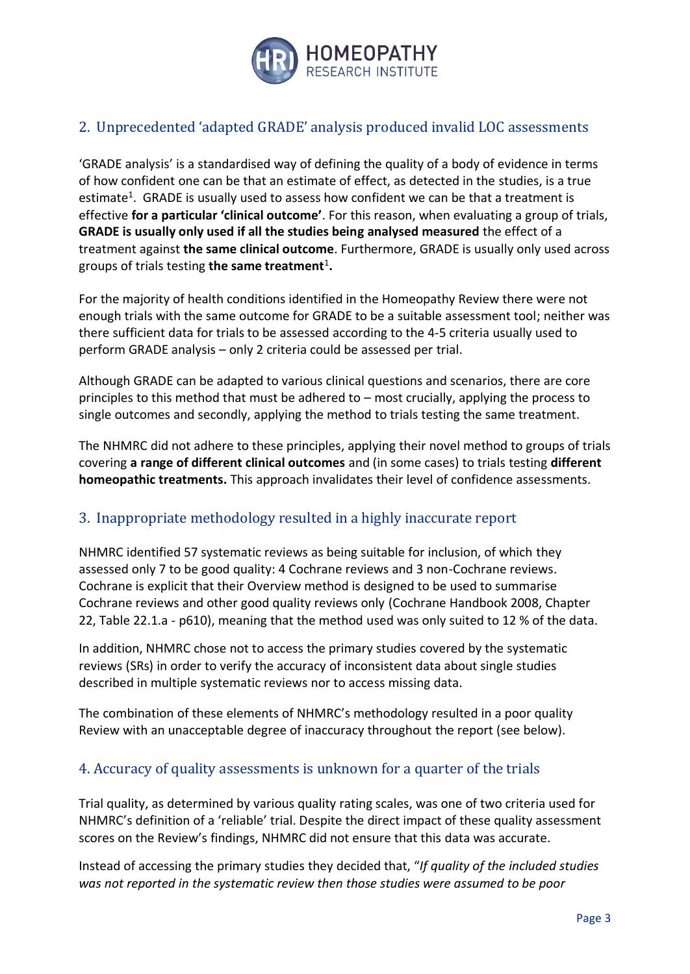

## 2. Unprecedented 'adapted GRADE' analysis produced invalid LOC assessments

'GRADE analysis' is a standardised way of defining the quality of a body of evidence in terms of how confident one can be that an estimate of effect, as detected in the studies, is a true estimate<sup>1</sup>. GRADE is usually used to assess how confident we can be that a treatment is effective **for a particular 'clinical outcome'**. For this reason, when evaluating a group of trials, **GRADE is usually only used if all the studies being analysed measured** the effect of a treatment against **the same clinical outcome**. Furthermore, GRADE is usually only used across groups of trials testing **the same treatment**<sup>1</sup> **.**

For the majority of health conditions identified in the Homeopathy Review there were not enough trials with the same outcome for GRADE to be a suitable assessment tool; neither was there sufficient data for trials to be assessed according to the 4-5 criteria usually used to perform GRADE analysis – only 2 criteria could be assessed per trial.

Although GRADE can be adapted to various clinical questions and scenarios, there are core principles to this method that must be adhered to – most crucially, applying the process to single outcomes and secondly, applying the method to trials testing the same treatment.

The NHMRC did not adhere to these principles, applying their novel method to groups of trials covering **a range of different clinical outcomes** and (in some cases) to trials testing **different homeopathic treatments.** This approach invalidates their level of confidence assessments.

#### 3. Inappropriate methodology resulted in a highly inaccurate report

NHMRC identified 57 systematic reviews as being suitable for inclusion, of which they assessed only 7 to be good quality: 4 Cochrane reviews and 3 non-Cochrane reviews. Cochrane is explicit that their Overview method is designed to be used to summarise Cochrane reviews and other good quality reviews only (Cochrane Handbook 2008, Chapter 22, Table 22.1.a - p610), meaning that the method used was only suited to 12 % of the data.

In addition, NHMRC chose not to access the primary studies covered by the systematic reviews (SRs) in order to verify the accuracy of inconsistent data about single studies described in multiple systematic reviews nor to access missing data.

The combination of these elements of NHMRC's methodology resulted in a poor quality Review with an unacceptable degree of inaccuracy throughout the report (see below).

## 4. Accuracy of quality assessments is unknown for a quarter of the trials

Trial quality, as determined by various quality rating scales, was one of two criteria used for NHMRC's definition of a 'reliable' trial. Despite the direct impact of these quality assessment scores on the Review's findings, NHMRC did not ensure that this data was accurate.

Instead of accessing the primary studies they decided that, "*If quality of the included studies was not reported in the systematic review then those studies were assumed to be poor*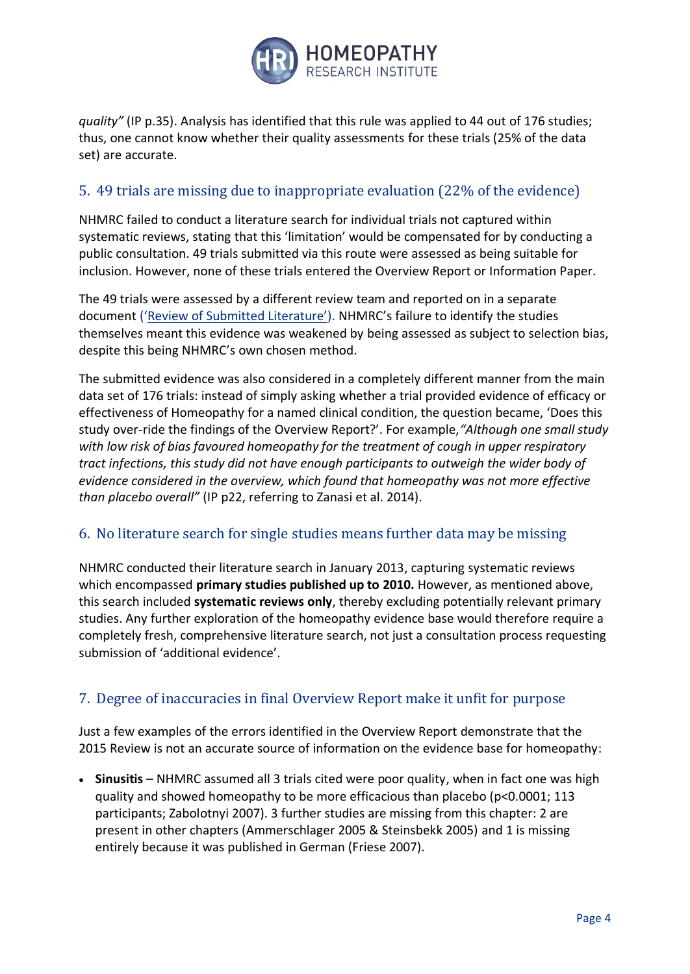

*quality"* (IP p.35). Analysis has identified that this rule was applied to 44 out of 176 studies; thus, one cannot know whether their quality assessments for these trials (25% of the data set) are accurate.

### 5. 49 trials are missing due to inappropriate evaluation (22% of the evidence)

NHMRC failed to conduct a literature search for individual trials not captured within systematic reviews, stating that this 'limitation' would be compensated for by conducting a public consultation. 49 trials submitted via this route were assessed as being suitable for inclusion. However, none of these trials entered the Overview Report or Information Paper.

The 49 trials were assessed by a different review team and reported on in a separate document (['Review of Submitted Literature'](https://www.hri-research.org/wp-content/uploads/2014/07/Review-of-submitted-literature.pdf)). NHMRC's failure to identify the studies themselves meant this evidence was weakened by being assessed as subject to selection bias, despite this being NHMRC's own chosen method.

The submitted evidence was also considered in a completely different manner from the main data set of 176 trials: instead of simply asking whether a trial provided evidence of efficacy or effectiveness of Homeopathy for a named clinical condition, the question became, 'Does this study over-ride the findings of the Overview Report?'. For example,*"Although one small study with low risk of bias favoured homeopathy for the treatment of cough in upper respiratory tract infections, this study did not have enough participants to outweigh the wider body of evidence considered in the overview, which found that homeopathy was not more effective than placebo overall"* (IP p22, referring to Zanasi et al. 2014).

#### 6. No literature search for single studies means further data may be missing

NHMRC conducted their literature search in January 2013, capturing systematic reviews which encompassed **primary studies published up to 2010.** However, as mentioned above, this search included **systematic reviews only**, thereby excluding potentially relevant primary studies. Any further exploration of the homeopathy evidence base would therefore require a completely fresh, comprehensive literature search, not just a consultation process requesting submission of 'additional evidence'.

#### 7. Degree of inaccuracies in final Overview Report make it unfit for purpose

Just a few examples of the errors identified in the Overview Report demonstrate that the 2015 Review is not an accurate source of information on the evidence base for homeopathy:

• Sinusitis – NHMRC assumed all 3 trials cited were poor quality, when in fact one was high quality and showed homeopathy to be more efficacious than placebo (p<0.0001; 113 participants; Zabolotnyi 2007). 3 further studies are missing from this chapter: 2 are present in other chapters (Ammerschlager 2005 & Steinsbekk 2005) and 1 is missing entirely because it was published in German (Friese 2007).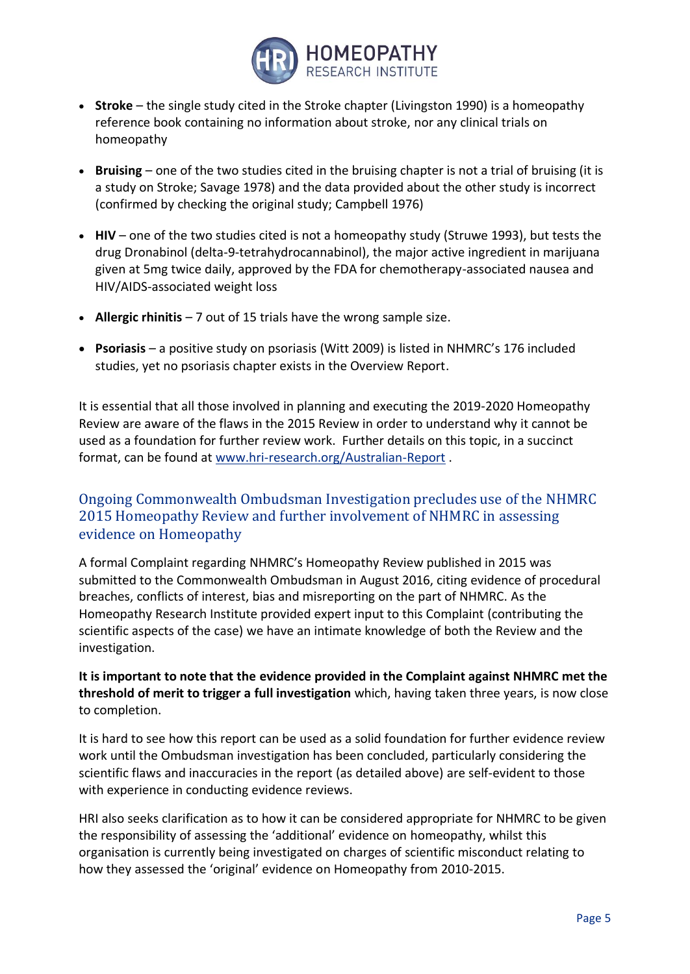

- **Stroke** the single study cited in the Stroke chapter (Livingston 1990) is a homeopathy reference book containing no information about stroke, nor any clinical trials on homeopathy
- **Bruising** one of the two studies cited in the bruising chapter is not a trial of bruising (it is a study on Stroke; Savage 1978) and the data provided about the other study is incorrect (confirmed by checking the original study; Campbell 1976)
- **HIV** one of the two studies cited is not a homeopathy study (Struwe 1993), but tests the drug Dronabinol (delta-9-tetrahydrocannabinol), the major active ingredient in marijuana given at 5mg twice daily, approved by the FDA for chemotherapy-associated nausea and HIV/AIDS-associated weight loss
- **Allergic rhinitis** 7 out of 15 trials have the wrong sample size.
- **Psoriasis** a positive study on psoriasis (Witt 2009) is listed in NHMRC's 176 included studies, yet no psoriasis chapter exists in the Overview Report.

It is essential that all those involved in planning and executing the 2019-2020 Homeopathy Review are aware of the flaws in the 2015 Review in order to understand why it cannot be used as a foundation for further review work. Further details on this topic, in a succinct format, can be found at [www.hri-research.org/Australian-Report](http://www.hri-research.org/Australian-Report) .

#### Ongoing Commonwealth Ombudsman Investigation precludes use of the NHMRC 2015 Homeopathy Review and further involvement of NHMRC in assessing evidence on Homeopathy

A formal Complaint regarding NHMRC's Homeopathy Review published in 2015 was submitted to the Commonwealth Ombudsman in August 2016, citing evidence of procedural breaches, conflicts of interest, bias and misreporting on the part of NHMRC. As the Homeopathy Research Institute provided expert input to this Complaint (contributing the scientific aspects of the case) we have an intimate knowledge of both the Review and the investigation.

**It is important to note that the evidence provided in the Complaint against NHMRC met the threshold of merit to trigger a full investigation** which, having taken three years, is now close to completion.

It is hard to see how this report can be used as a solid foundation for further evidence review work until the Ombudsman investigation has been concluded, particularly considering the scientific flaws and inaccuracies in the report (as detailed above) are self-evident to those with experience in conducting evidence reviews.

HRI also seeks clarification as to how it can be considered appropriate for NHMRC to be given the responsibility of assessing the 'additional' evidence on homeopathy, whilst this organisation is currently being investigated on charges of scientific misconduct relating to how they assessed the 'original' evidence on Homeopathy from 2010-2015.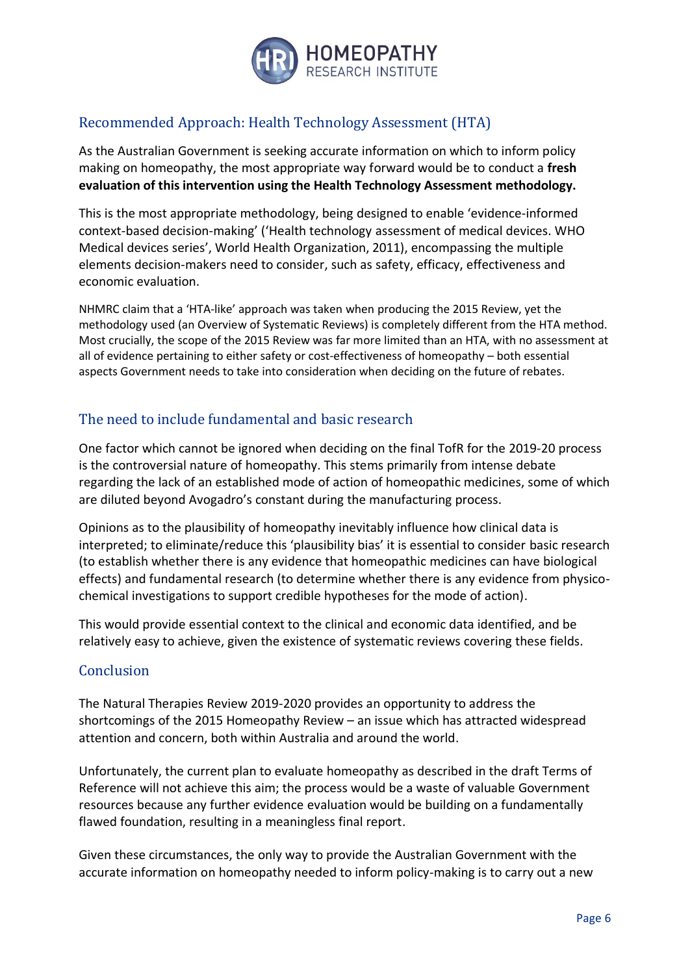

# Recommended Approach: Health Technology Assessment (HTA)

As the Australian Government is seeking accurate information on which to inform policy making on homeopathy, the most appropriate way forward would be to conduct a **fresh evaluation of this intervention using the Health Technology Assessment methodology.**

This is the most appropriate methodology, being designed to enable 'evidence-informed context-based decision-making' ('Health technology assessment of medical devices. WHO Medical devices series', World Health Organization, 2011), encompassing the multiple elements decision-makers need to consider, such as safety, efficacy, effectiveness and economic evaluation.

NHMRC claim that a 'HTA-like' approach was taken when producing the 2015 Review, yet the methodology used (an Overview of Systematic Reviews) is completely different from the HTA method. Most crucially, the scope of the 2015 Review was far more limited than an HTA, with no assessment at all of evidence pertaining to either safety or cost-effectiveness of homeopathy – both essential aspects Government needs to take into consideration when deciding on the future of rebates.

# The need to include fundamental and basic research

One factor which cannot be ignored when deciding on the final TofR for the 2019-20 process is the controversial nature of homeopathy. This stems primarily from intense debate regarding the lack of an established mode of action of homeopathic medicines, some of which are diluted beyond Avogadro's constant during the manufacturing process.

Opinions as to the plausibility of homeopathy inevitably influence how clinical data is interpreted; to eliminate/reduce this 'plausibility bias' it is essential to consider basic research (to establish whether there is any evidence that homeopathic medicines can have biological effects) and fundamental research (to determine whether there is any evidence from physicochemical investigations to support credible hypotheses for the mode of action).

This would provide essential context to the clinical and economic data identified, and be relatively easy to achieve, given the existence of systematic reviews covering these fields.

#### **Conclusion**

The Natural Therapies Review 2019-2020 provides an opportunity to address the shortcomings of the 2015 Homeopathy Review – an issue which has attracted widespread attention and concern, both within Australia and around the world.

Unfortunately, the current plan to evaluate homeopathy as described in the draft Terms of Reference will not achieve this aim; the process would be a waste of valuable Government resources because any further evidence evaluation would be building on a fundamentally flawed foundation, resulting in a meaningless final report.

Given these circumstances, the only way to provide the Australian Government with the accurate information on homeopathy needed to inform policy-making is to carry out a new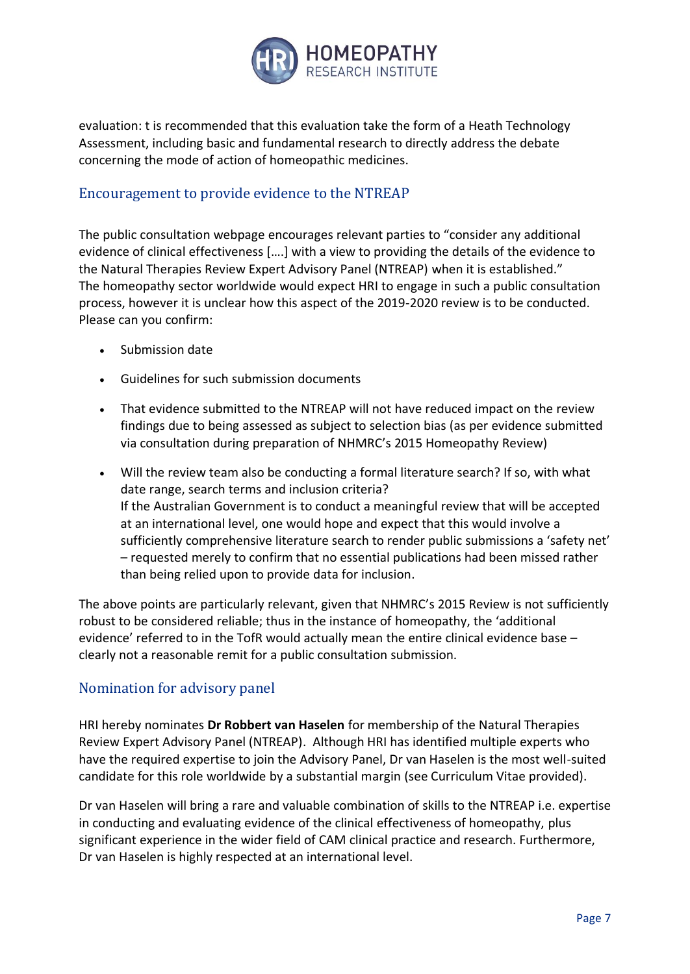

evaluation: t is recommended that this evaluation take the form of a Heath Technology Assessment, including basic and fundamental research to directly address the debate concerning the mode of action of homeopathic medicines.

#### Encouragement to provide evidence to the NTREAP

The public consultation webpage encourages relevant parties to "consider any additional evidence of clinical effectiveness [….] with a view to providing the details of the evidence to the Natural Therapies Review Expert Advisory Panel (NTREAP) when it is established." The homeopathy sector worldwide would expect HRI to engage in such a public consultation process, however it is unclear how this aspect of the 2019-2020 review is to be conducted. Please can you confirm:

- Submission date
- Guidelines for such submission documents
- That evidence submitted to the NTREAP will not have reduced impact on the review findings due to being assessed as subject to selection bias (as per evidence submitted via consultation during preparation of NHMRC's 2015 Homeopathy Review)
- Will the review team also be conducting a formal literature search? If so, with what date range, search terms and inclusion criteria? If the Australian Government is to conduct a meaningful review that will be accepted at an international level, one would hope and expect that this would involve a sufficiently comprehensive literature search to render public submissions a 'safety net' – requested merely to confirm that no essential publications had been missed rather than being relied upon to provide data for inclusion.

The above points are particularly relevant, given that NHMRC's 2015 Review is not sufficiently robust to be considered reliable; thus in the instance of homeopathy, the 'additional evidence' referred to in the TofR would actually mean the entire clinical evidence base – clearly not a reasonable remit for a public consultation submission.

#### Nomination for advisory panel

HRI hereby nominates **Dr Robbert van Haselen** for membership of the Natural Therapies Review Expert Advisory Panel (NTREAP). Although HRI has identified multiple experts who have the required expertise to join the Advisory Panel, Dr van Haselen is the most well-suited candidate for this role worldwide by a substantial margin (see Curriculum Vitae provided).

Dr van Haselen will bring a rare and valuable combination of skills to the NTREAP i.e. expertise in conducting and evaluating evidence of the clinical effectiveness of homeopathy, plus significant experience in the wider field of CAM clinical practice and research. Furthermore, Dr van Haselen is highly respected at an international level.